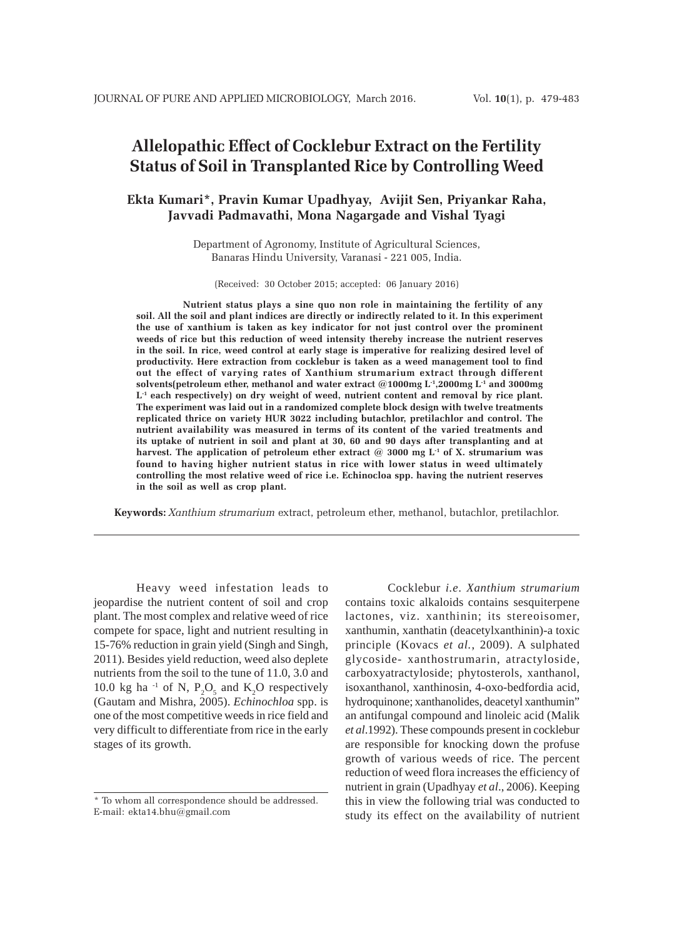# **Allelopathic Effect of Cocklebur Extract on the Fertility Status of Soil in Transplanted Rice by Controlling Weed**

## **Ekta Kumari\*, Pravin Kumar Upadhyay, Avijit Sen, Priyankar Raha, Javvadi Padmavathi, Mona Nagargade and Vishal Tyagi**

Department of Agronomy, Institute of Agricultural Sciences, Banaras Hindu University, Varanasi - 221 005, India.

(Received: 30 October 2015; accepted: 06 January 2016)

 **Nutrient status plays a sine quo non role in maintaining the fertility of any soil. All the soil and plant indices are directly or indirectly related to it. In this experiment the use of xanthium is taken as key indicator for not just control over the prominent weeds of rice but this reduction of weed intensity thereby increase the nutrient reserves in the soil. In rice, weed control at early stage is imperative for realizing desired level of productivity. Here extraction from cocklebur is taken as a weed management tool to find out the effect of varying rates of Xanthium strumarium extract through different solvents(petroleum ether, methanol and water extract @1000mg L-1,2000mg L-1 and 3000mg L-1 each respectively) on dry weight of weed, nutrient content and removal by rice plant. The experiment was laid out in a randomized complete block design with twelve treatments replicated thrice on variety HUR 3022 including butachlor, pretilachlor and control. The nutrient availability was measured in terms of its content of the varied treatments and its uptake of nutrient in soil and plant at 30, 60 and 90 days after transplanting and at harvest. The application of petroleum ether extract @ 3000 mg L-1 of X. strumarium was found to having higher nutrient status in rice with lower status in weed ultimately controlling the most relative weed of rice i.e. Echinocloa spp. having the nutrient reserves in the soil as well as crop plant.**

**Keywords:** *Xanthium strumarium* extract, petroleum ether, methanol, butachlor, pretilachlor.

Heavy weed infestation leads to jeopardise the nutrient content of soil and crop plant. The most complex and relative weed of rice compete for space, light and nutrient resulting in 15-76% reduction in grain yield (Singh and Singh, 2011). Besides yield reduction, weed also deplete nutrients from the soil to the tune of 11.0, 3.0 and 10.0 kg ha<sup>-1</sup> of N,  $P_2O_5$  and  $K_2O$  respectively (Gautam and Mishra, 2005). *Echinochloa* spp. is one of the most competitive weeds in rice field and very difficult to differentiate from rice in the early stages of its growth.

Cocklebur *i.e*. *Xanthium strumarium* contains toxic alkaloids contains sesquiterpene lactones, viz. xanthinin; its stereoisomer, xanthumin, xanthatin (deacetylxanthinin)-a toxic principle (Kovacs *et al.*, 2009). A sulphated glycoside- xanthostrumarin, atractyloside, carboxyatractyloside; phytosterols, xanthanol, isoxanthanol, xanthinosin, 4-oxo-bedfordia acid, hydroquinone; xanthanolides, deacetyl xanthumin" an antifungal compound and linoleic acid (Malik *et al*.1992). These compounds present in cocklebur are responsible for knocking down the profuse growth of various weeds of rice. The percent reduction of weed flora increases the efficiency of nutrient in grain (Upadhyay *et al*., 2006). Keeping this in view the following trial was conducted to study its effect on the availability of nutrient

<sup>\*</sup> To whom all correspondence should be addressed. E-mail: ekta14.bhu@gmail.com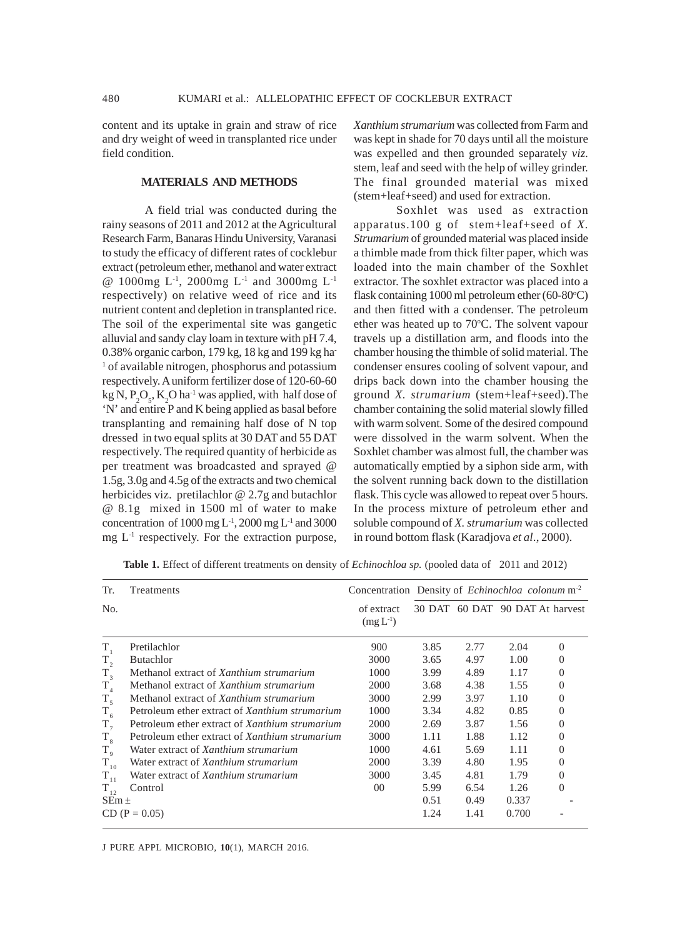content and its uptake in grain and straw of rice and dry weight of weed in transplanted rice under field condition.

### **MATERIALS AND METHODS**

A field trial was conducted during the rainy seasons of 2011 and 2012 at the Agricultural Research Farm, Banaras Hindu University, Varanasi to study the efficacy of different rates of cocklebur extract (petroleum ether, methanol and water extract @ 1000mg L-1, 2000mg L-1 and 3000mg L-1 respectively) on relative weed of rice and its nutrient content and depletion in transplanted rice. The soil of the experimental site was gangetic alluvial and sandy clay loam in texture with pH 7.4, 0.38% organic carbon, 179 kg, 18 kg and 199 kg ha-<sup>1</sup> of available nitrogen, phosphorus and potassium respectively. A uniform fertilizer dose of 120-60-60 kg N,  $P_2O_5$ , K<sub>2</sub>O ha<sup>-1</sup> was applied, with half dose of 'N' and entire P and K being applied as basal before transplanting and remaining half dose of N top dressed in two equal splits at 30 DAT and 55 DAT respectively. The required quantity of herbicide as per treatment was broadcasted and sprayed @ 1.5g, 3.0g and 4.5g of the extracts and two chemical herbicides viz. pretilachlor @ 2.7g and butachlor @ 8.1g mixed in 1500 ml of water to make concentration of  $1000 \text{ mg L}^{-1}$ ,  $2000 \text{ mg L}^{-1}$  and  $3000$  $mg L<sup>-1</sup>$  respectively. For the extraction purpose, *Xanthium strumarium* was collected from Farm and was kept in shade for 70 days until all the moisture was expelled and then grounded separately *viz*. stem, leaf and seed with the help of willey grinder. The final grounded material was mixed (stem+leaf+seed) and used for extraction.

Soxhlet was used as extraction apparatus.100 g of stem+leaf+seed of *X. Strumarium* of grounded material was placed inside a thimble made from thick filter paper, which was loaded into the main chamber of the Soxhlet extractor. The soxhlet extractor was placed into a flask containing  $1000$  ml petroleum ether (60-80 $^{\circ}$ C) and then fitted with a condenser. The petroleum ether was heated up to 70°C. The solvent vapour travels up a distillation arm, and floods into the chamber housing the thimble of solid material. The condenser ensures cooling of solvent vapour, and drips back down into the chamber housing the ground *X. strumarium* (stem+leaf+seed).The chamber containing the solid material slowly filled with warm solvent. Some of the desired compound were dissolved in the warm solvent. When the Soxhlet chamber was almost full, the chamber was automatically emptied by a siphon side arm, with the solvent running back down to the distillation flask. This cycle was allowed to repeat over 5 hours. In the process mixture of petroleum ether and soluble compound of *X. strumarium* was collected in round bottom flask (Karadjova *et al*., 2000).

| Tr.         | Treatments                                     | Concentration Density of <i>Echinochloa colonum</i> $m2$ |      |      |       |                                 |
|-------------|------------------------------------------------|----------------------------------------------------------|------|------|-------|---------------------------------|
| No.         |                                                | of extract<br>$(mg L^{-1})$                              |      |      |       | 30 DAT 60 DAT 90 DAT At harvest |
| $T_{1}$     | Pretilachlor                                   | 900                                                      | 3.85 | 2.77 | 2.04  | $\Omega$                        |
| $T_{2}$     | <b>Butachlor</b>                               | 3000                                                     | 3.65 | 4.97 | 1.00  | 0                               |
| $T_{3}$     | Methanol extract of Xanthium strumarium        | 1000                                                     | 3.99 | 4.89 | 1.17  | 0                               |
| $T_{4}$     | Methanol extract of Xanthium strumarium        | 2000                                                     | 3.68 | 4.38 | 1.55  | $\theta$                        |
| $T_{5}$     | Methanol extract of Xanthium strumarium        | 3000                                                     | 2.99 | 3.97 | 1.10  | 0                               |
| $T_{6}$     | Petroleum ether extract of Xanthium strumarium | 1000                                                     | 3.34 | 4.82 | 0.85  | 0                               |
| $T_{7}$     | Petroleum ether extract of Xanthium strumarium | 2000                                                     | 2.69 | 3.87 | 1.56  | 0                               |
| $T_{8}$     | Petroleum ether extract of Xanthium strumarium | 3000                                                     | 1.11 | 1.88 | 1.12  | $\mathbf{0}$                    |
| $T_{\rm 9}$ | Water extract of Xanthium strumarium           | 1000                                                     | 4.61 | 5.69 | 1.11  | $\theta$                        |
| $T_{10}$    | Water extract of Xanthium strumarium           | 2000                                                     | 3.39 | 4.80 | 1.95  | 0                               |
| $T_{11}$    | Water extract of Xanthium strumarium           | 3000                                                     | 3.45 | 4.81 | 1.79  | 0                               |
| $T_{12}$    | Control                                        | 00 <sup>0</sup>                                          | 5.99 | 6.54 | 1.26  | 0                               |
| $SEm \pm$   |                                                |                                                          | 0.51 | 0.49 | 0.337 |                                 |
|             | $CD (P = 0.05)$                                |                                                          | 1.24 | 1.41 | 0.700 |                                 |

**Table 1.** Effect of different treatments on density of *Echinochloa sp.* (pooled data of 2011 and 2012)

J PURE APPL MICROBIO*,* **10**(1), MARCH 2016.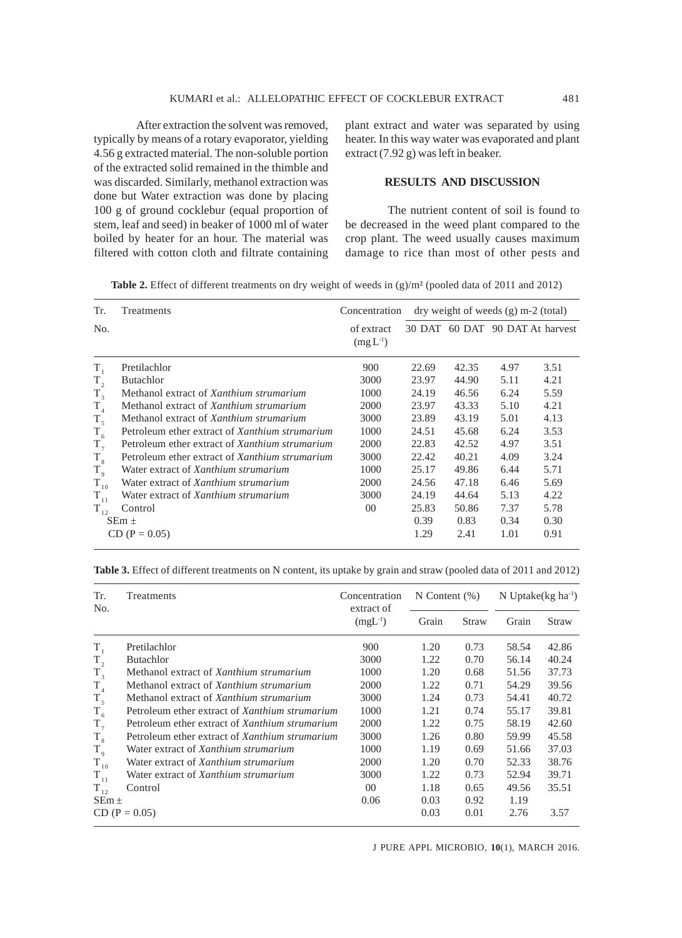After extraction the solvent was removed, typically by means of a rotary evaporator, yielding 4.56 g extracted material. The non-soluble portion of the extracted solid remained in the thimble and was discarded. Similarly, methanol extraction was done but Water extraction was done by placing 100 g of ground cocklebur (equal proportion of stem, leaf and seed) in beaker of 1000 ml of water boiled by heater for an hour. The material was filtered with cotton cloth and filtrate containing

plant extract and water was separated by using heater. In this way water was evaporated and plant extract (7.92 g) was left in beaker.

#### **RESULTS AND DISCUSSION**

The nutrient content of soil is found to be decreased in the weed plant compared to the crop plant. The weed usually causes maximum damage to rice than most of other pests and

Table 2. Effect of different treatments on dry weight of weeds in (g)/m<sup>2</sup> (pooled data of 2011 and 2012)

| Tr.         | Treatments                                            | Concentration               | $\frac{dy}{dx}$ dry weight of weeds (g) m-2 (total) |       |      |                                 |
|-------------|-------------------------------------------------------|-----------------------------|-----------------------------------------------------|-------|------|---------------------------------|
| No.         |                                                       | of extract<br>$(mg L^{-1})$ |                                                     |       |      | 30 DAT 60 DAT 90 DAT At harvest |
| $T_{1}$     | Pretilachlor                                          | 900                         | 22.69                                               | 42.35 | 4.97 | 3.51                            |
| $T_{2}$     | <b>Butachlor</b>                                      | 3000                        | 23.97                                               | 44.90 | 5.11 | 4.21                            |
| $T_{3}$     | Methanol extract of Xanthium strumarium               | 1000                        | 24.19                                               | 46.56 | 6.24 | 5.59                            |
| $T_{4}$     | Methanol extract of Xanthium strumarium               | 2000                        | 23.97                                               | 43.33 | 5.10 | 4.21                            |
| $T_{\rm s}$ | Methanol extract of Xanthium strumarium               | 3000                        | 23.89                                               | 43.19 | 5.01 | 4.13                            |
| $T_{6}$     | Petroleum ether extract of Xanthium strumarium        | 1000                        | 24.51                                               | 45.68 | 6.24 | 3.53                            |
| $T_{7}$     | Petroleum ether extract of <i>Xanthium strumarium</i> | 2000                        | 22.83                                               | 42.52 | 4.97 | 3.51                            |
| $T_{8}$     | Petroleum ether extract of <i>Xanthium strumarium</i> | 3000                        | 22.42                                               | 40.21 | 4.09 | 3.24                            |
| $T_{9}$     | Water extract of Xanthium strumarium                  | 1000                        | 25.17                                               | 49.86 | 6.44 | 5.71                            |
| $T_{10}$    | Water extract of Xanthium strumarium                  | 2000                        | 24.56                                               | 47.18 | 6.46 | 5.69                            |
| $T_{11}$    | Water extract of Xanthium strumarium                  | 3000                        | 24.19                                               | 44.64 | 5.13 | 4.22                            |
| $T_{12}$    | Control                                               | $00\,$                      | 25.83                                               | 50.86 | 7.37 | 5.78                            |
|             | $SEm \pm$                                             |                             | 0.39                                                | 0.83  | 0.34 | 0.30                            |
|             | $CD (P = 0.05)$                                       |                             | 1.29                                                | 2.41  | 1.01 | 0.91                            |

**Table 3.** Effect of different treatments on N content, its uptake by grain and straw (pooled data of 2011 and 2012)

| Tr.<br>No.  | Treatments                                            | Concentration<br>extract of | $N$ Content $(\%)$ |       | N Uptake( $kg \text{ ha}^{-1}$ ) |       |
|-------------|-------------------------------------------------------|-----------------------------|--------------------|-------|----------------------------------|-------|
|             |                                                       | $(mgL^{-1})$                | Grain              | Straw | Grain                            | Straw |
| $T_{1}$     | Pretilachlor                                          | 900                         | 1.20               | 0.73  | 58.54                            | 42.86 |
| $T_{2}$     | <b>Butachlor</b>                                      | 3000                        | 1.22               | 0.70  | 56.14                            | 40.24 |
| $T_{3}$     | Methanol extract of Xanthium strumarium               | 1000                        | 1.20               | 0.68  | 51.56                            | 37.73 |
| $T_{4}$     | Methanol extract of Xanthium strumarium               | 2000                        | 1.22               | 0.71  | 54.29                            | 39.56 |
| $T_{\zeta}$ | Methanol extract of <i>Xanthium strumarium</i>        | 3000                        | 1.24               | 0.73  | 54.41                            | 40.72 |
| $T_{6}$     | Petroleum ether extract of <i>Xanthium strumarium</i> | 1000                        | 1.21               | 0.74  | 55.17                            | 39.81 |
| $T_{7}$     | Petroleum ether extract of Xanthium strumarium        | 2000                        | 1.22               | 0.75  | 58.19                            | 42.60 |
| $T_{8}$     | Petroleum ether extract of <i>Xanthium strumarium</i> | 3000                        | 1.26               | 0.80  | 59.99                            | 45.58 |
| $T_{\rm q}$ | Water extract of Xanthium strumarium                  | 1000                        | 1.19               | 0.69  | 51.66                            | 37.03 |
| $T_{10}$    | Water extract of <i>Xanthium strumarium</i>           | 2000                        | 1.20               | 0.70  | 52.33                            | 38.76 |
| $T_{11}$    | Water extract of Xanthium strumarium                  | 3000                        | 1.22               | 0.73  | 52.94                            | 39.71 |
| $T_{12}$    | Control                                               | $00\,$                      | 1.18               | 0.65  | 49.56                            | 35.51 |
| $SEm \pm$   |                                                       | 0.06                        | 0.03               | 0.92  | 1.19                             |       |
|             | $CD (P = 0.05)$                                       |                             | 0.03               | 0.01  | 2.76                             | 3.57  |

J PURE APPL MICROBIO*,* **10**(1), MARCH 2016.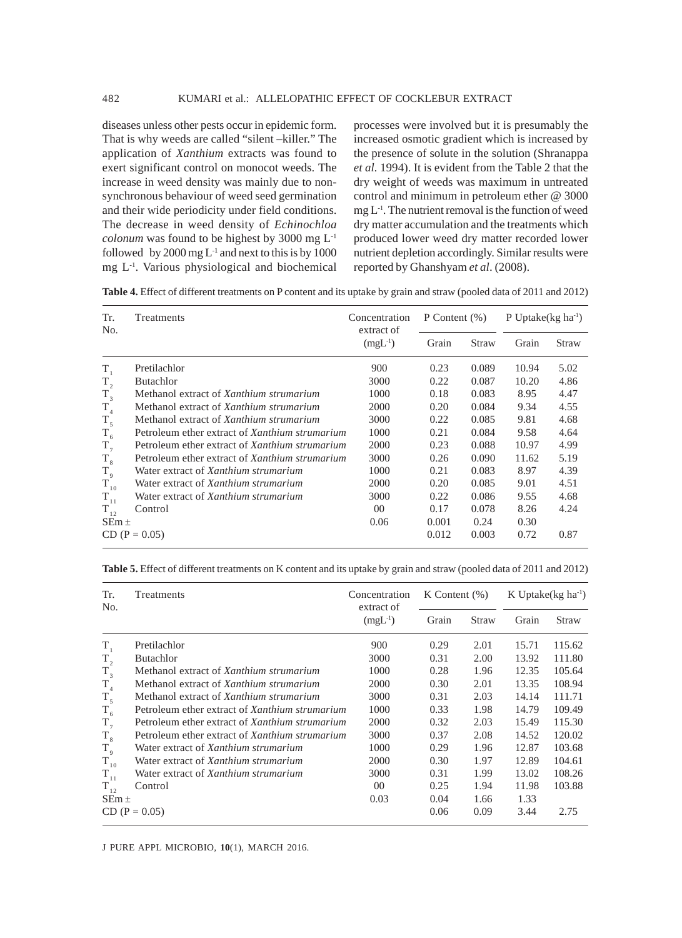diseases unless other pests occur in epidemic form. That is why weeds are called "silent –killer." The application of *Xanthium* extracts was found to exert significant control on monocot weeds. The increase in weed density was mainly due to nonsynchronous behaviour of weed seed germination and their wide periodicity under field conditions. The decrease in weed density of *Echinochloa colonum* was found to be highest by 3000 mg L-1 followed by 2000 mg  $L^{-1}$  and next to this is by 1000 mg L-1. Various physiological and biochemical

processes were involved but it is presumably the increased osmotic gradient which is increased by the presence of solute in the solution (Shranappa *et al.* 1994). It is evident from the Table 2 that the dry weight of weeds was maximum in untreated control and minimum in petroleum ether @ 3000  $mg L<sup>-1</sup>$ . The nutrient removal is the function of weed dry matter accumulation and the treatments which produced lower weed dry matter recorded lower nutrient depletion accordingly. Similar results were reported by Ghanshyam *et al*. (2008).

**Table 4.** Effect of different treatments on P content and its uptake by grain and straw (pooled data of 2011 and 2012)

| Tr.<br>No.   | <b>Treatments</b>                              | Concentration<br>extract of | P Content $(\%)$ |       | P Uptake $(kg ha^{-1})$ |       |
|--------------|------------------------------------------------|-----------------------------|------------------|-------|-------------------------|-------|
|              |                                                | $(mgL^{-1})$                | Grain            | Straw | Grain                   | Straw |
| $T_{1}$      | Pretilachlor                                   | 900                         | 0.23             | 0.089 | 10.94                   | 5.02  |
| $T_{2}$      | <b>Butachlor</b>                               | 3000                        | 0.22             | 0.087 | 10.20                   | 4.86  |
| $T_{3}$      | Methanol extract of Xanthium strumarium        | 1000                        | 0.18             | 0.083 | 8.95                    | 4.47  |
| $\rm T_{_4}$ | Methanol extract of Xanthium strumarium        | 2000                        | 0.20             | 0.084 | 9.34                    | 4.55  |
| $T_{5}$      | Methanol extract of Xanthium strumarium        | 3000                        | 0.22             | 0.085 | 9.81                    | 4.68  |
| $T_{6}$      | Petroleum ether extract of Xanthium strumarium | 1000                        | 0.21             | 0.084 | 9.58                    | 4.64  |
| $T_{7}$      | Petroleum ether extract of Xanthium strumarium | 2000                        | 0.23             | 0.088 | 10.97                   | 4.99  |
| $T_{8}$      | Petroleum ether extract of Xanthium strumarium | 3000                        | 0.26             | 0.090 | 11.62                   | 5.19  |
| $T_{9}$      | Water extract of Xanthium strumarium           | 1000                        | 0.21             | 0.083 | 8.97                    | 4.39  |
| $T_{10}$     | Water extract of Xanthium strumarium           | 2000                        | 0.20             | 0.085 | 9.01                    | 4.51  |
| $T_{11}$     | Water extract of Xanthium strumarium           | 3000                        | 0.22             | 0.086 | 9.55                    | 4.68  |
| $T_{12}$     | Control                                        | 00 <sup>0</sup>             | 0.17             | 0.078 | 8.26                    | 4.24  |
| $SEm \pm$    |                                                | 0.06                        | 0.001            | 0.24  | 0.30                    |       |
|              | $CD (P = 0.05)$                                |                             | 0.012            | 0.003 | 0.72                    | 0.87  |

**Table 5.** Effect of different treatments on K content and its uptake by grain and straw (pooled data of 2011 and 2012)

| Tr.<br>No.  | Treatments                                     | Concentration<br>extract of | K Content $(\%)$ |       | K Uptake( $kg \text{ ha}^{-1}$ ) |        |
|-------------|------------------------------------------------|-----------------------------|------------------|-------|----------------------------------|--------|
|             |                                                | $(mgL^{-1})$                | Grain            | Straw | Grain                            | Straw  |
| $T_{1}$     | Pretilachlor                                   | 900                         | 0.29             | 2.01  | 15.71                            | 115.62 |
| $T_{2}$     | <b>Butachlor</b>                               | 3000                        | 0.31             | 2.00  | 13.92                            | 111.80 |
| $T_{3}$     | Methanol extract of Xanthium strumarium        | 1000                        | 0.28             | 1.96  | 12.35                            | 105.64 |
| $T_{4}$     | Methanol extract of Xanthium strumarium        | 2000                        | 0.30             | 2.01  | 13.35                            | 108.94 |
| $T_{5}$     | Methanol extract of <i>Xanthium strumarium</i> | 3000                        | 0.31             | 2.03  | 14.14                            | 111.71 |
| $T_{6}$     | Petroleum ether extract of Xanthium strumarium | 1000                        | 0.33             | 1.98  | 14.79                            | 109.49 |
| $T_{7}$     | Petroleum ether extract of Xanthium strumarium | 2000                        | 0.32             | 2.03  | 15.49                            | 115.30 |
| $T_{8}$     | Petroleum ether extract of Xanthium strumarium | 3000                        | 0.37             | 2.08  | 14.52                            | 120.02 |
| $T_{\rm 9}$ | Water extract of Xanthium strumarium           | 1000                        | 0.29             | 1.96  | 12.87                            | 103.68 |
| $T_{10}$    | Water extract of Xanthium strumarium           | 2000                        | 0.30             | 1.97  | 12.89                            | 104.61 |
| $T_{11}$    | Water extract of <i>Xanthium strumarium</i>    | 3000                        | 0.31             | 1.99  | 13.02                            | 108.26 |
| $T_{12}$    | Control                                        | 00 <sup>2</sup>             | 0.25             | 1.94  | 11.98                            | 103.88 |
| $SEm \pm$   |                                                | 0.03                        | 0.04             | 1.66  | 1.33                             |        |
|             | $CD (P = 0.05)$                                |                             | 0.06             | 0.09  | 3.44                             | 2.75   |

J PURE APPL MICROBIO*,* **10**(1), MARCH 2016.